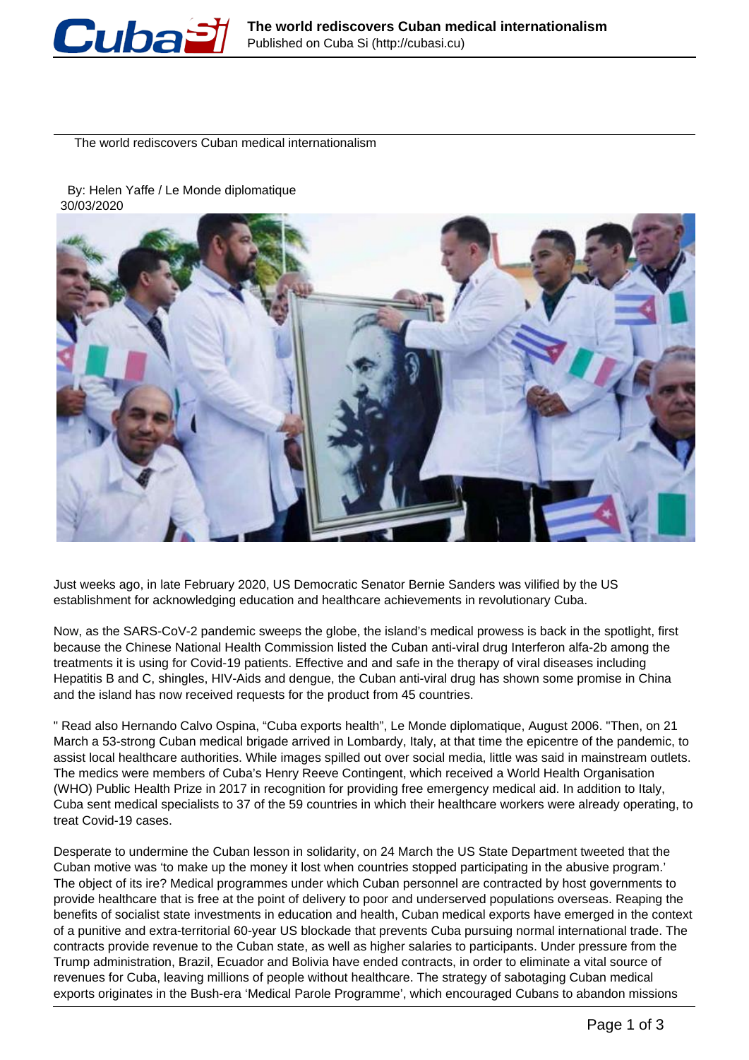

The world rediscovers Cuban medical internationalism

 By: Helen Yaffe / Le Monde diplomatique 30/03/2020



Just weeks ago, in late February 2020, US Democratic Senator Bernie Sanders was vilified by the US establishment for acknowledging education and healthcare achievements in revolutionary Cuba.

Now, as the SARS-CoV-2 pandemic sweeps the globe, the island's medical prowess is back in the spotlight, first because the Chinese National Health Commission listed the Cuban anti-viral drug Interferon alfa-2b among the treatments it is using for Covid-19 patients. Effective and and safe in the therapy of viral diseases including Hepatitis B and C, shingles, HIV-Aids and dengue, the Cuban anti-viral drug has shown some promise in China and the island has now received requests for the product from 45 countries.

" Read also Hernando Calvo Ospina, "Cuba exports health", Le Monde diplomatique, August 2006. "Then, on 21 March a 53-strong Cuban medical brigade arrived in Lombardy, Italy, at that time the epicentre of the pandemic, to assist local healthcare authorities. While images spilled out over social media, little was said in mainstream outlets. The medics were members of Cuba's Henry Reeve Contingent, which received a World Health Organisation (WHO) Public Health Prize in 2017 in recognition for providing free emergency medical aid. In addition to Italy, Cuba sent medical specialists to 37 of the 59 countries in which their healthcare workers were already operating, to treat Covid-19 cases.

Desperate to undermine the Cuban lesson in solidarity, on 24 March the US State Department tweeted that the Cuban motive was 'to make up the money it lost when countries stopped participating in the abusive program.' The object of its ire? Medical programmes under which Cuban personnel are contracted by host governments to provide healthcare that is free at the point of delivery to poor and underserved populations overseas. Reaping the benefits of socialist state investments in education and health, Cuban medical exports have emerged in the context of a punitive and extra-territorial 60-year US blockade that prevents Cuba pursuing normal international trade. The contracts provide revenue to the Cuban state, as well as higher salaries to participants. Under pressure from the Trump administration, Brazil, Ecuador and Bolivia have ended contracts, in order to eliminate a vital source of revenues for Cuba, leaving millions of people without healthcare. The strategy of sabotaging Cuban medical exports originates in the Bush-era 'Medical Parole Programme', which encouraged Cubans to abandon missions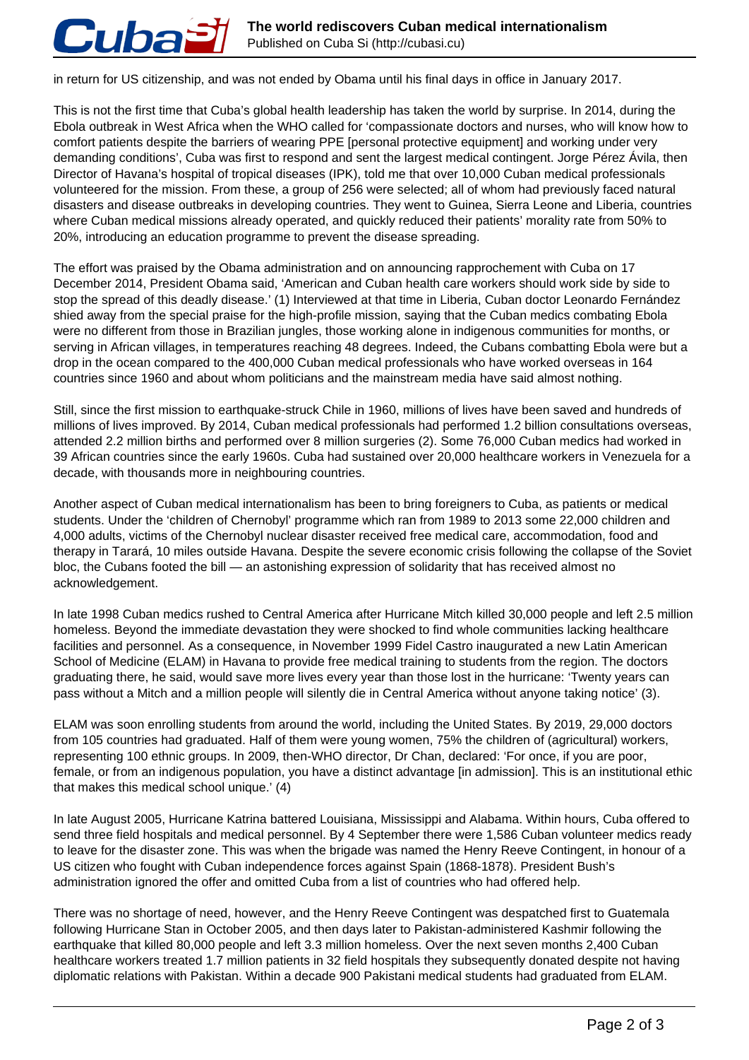

in return for US citizenship, and was not ended by Obama until his final days in office in January 2017.

This is not the first time that Cuba's global health leadership has taken the world by surprise. In 2014, during the Ebola outbreak in West Africa when the WHO called for 'compassionate doctors and nurses, who will know how to comfort patients despite the barriers of wearing PPE [personal protective equipment] and working under very demanding conditions', Cuba was first to respond and sent the largest medical contingent. Jorge Pérez Ávila, then Director of Havana's hospital of tropical diseases (IPK), told me that over 10,000 Cuban medical professionals volunteered for the mission. From these, a group of 256 were selected; all of whom had previously faced natural disasters and disease outbreaks in developing countries. They went to Guinea, Sierra Leone and Liberia, countries where Cuban medical missions already operated, and quickly reduced their patients' morality rate from 50% to 20%, introducing an education programme to prevent the disease spreading.

The effort was praised by the Obama administration and on announcing rapprochement with Cuba on 17 December 2014, President Obama said, 'American and Cuban health care workers should work side by side to stop the spread of this deadly disease.' (1) Interviewed at that time in Liberia, Cuban doctor Leonardo Fernández shied away from the special praise for the high-profile mission, saying that the Cuban medics combating Ebola were no different from those in Brazilian jungles, those working alone in indigenous communities for months, or serving in African villages, in temperatures reaching 48 degrees. Indeed, the Cubans combatting Ebola were but a drop in the ocean compared to the 400,000 Cuban medical professionals who have worked overseas in 164 countries since 1960 and about whom politicians and the mainstream media have said almost nothing.

Still, since the first mission to earthquake-struck Chile in 1960, millions of lives have been saved and hundreds of millions of lives improved. By 2014, Cuban medical professionals had performed 1.2 billion consultations overseas, attended 2.2 million births and performed over 8 million surgeries (2). Some 76,000 Cuban medics had worked in 39 African countries since the early 1960s. Cuba had sustained over 20,000 healthcare workers in Venezuela for a decade, with thousands more in neighbouring countries.

Another aspect of Cuban medical internationalism has been to bring foreigners to Cuba, as patients or medical students. Under the 'children of Chernobyl' programme which ran from 1989 to 2013 some 22,000 children and 4,000 adults, victims of the Chernobyl nuclear disaster received free medical care, accommodation, food and therapy in Tarará, 10 miles outside Havana. Despite the severe economic crisis following the collapse of the Soviet bloc, the Cubans footed the bill — an astonishing expression of solidarity that has received almost no acknowledgement.

In late 1998 Cuban medics rushed to Central America after Hurricane Mitch killed 30,000 people and left 2.5 million homeless. Beyond the immediate devastation they were shocked to find whole communities lacking healthcare facilities and personnel. As a consequence, in November 1999 Fidel Castro inaugurated a new Latin American School of Medicine (ELAM) in Havana to provide free medical training to students from the region. The doctors graduating there, he said, would save more lives every year than those lost in the hurricane: 'Twenty years can pass without a Mitch and a million people will silently die in Central America without anyone taking notice' (3).

ELAM was soon enrolling students from around the world, including the United States. By 2019, 29,000 doctors from 105 countries had graduated. Half of them were young women, 75% the children of (agricultural) workers, representing 100 ethnic groups. In 2009, then-WHO director, Dr Chan, declared: 'For once, if you are poor, female, or from an indigenous population, you have a distinct advantage [in admission]. This is an institutional ethic that makes this medical school unique.' (4)

In late August 2005, Hurricane Katrina battered Louisiana, Mississippi and Alabama. Within hours, Cuba offered to send three field hospitals and medical personnel. By 4 September there were 1,586 Cuban volunteer medics ready to leave for the disaster zone. This was when the brigade was named the Henry Reeve Contingent, in honour of a US citizen who fought with Cuban independence forces against Spain (1868-1878). President Bush's administration ignored the offer and omitted Cuba from a list of countries who had offered help.

There was no shortage of need, however, and the Henry Reeve Contingent was despatched first to Guatemala following Hurricane Stan in October 2005, and then days later to Pakistan-administered Kashmir following the earthquake that killed 80,000 people and left 3.3 million homeless. Over the next seven months 2,400 Cuban healthcare workers treated 1.7 million patients in 32 field hospitals they subsequently donated despite not having diplomatic relations with Pakistan. Within a decade 900 Pakistani medical students had graduated from ELAM.